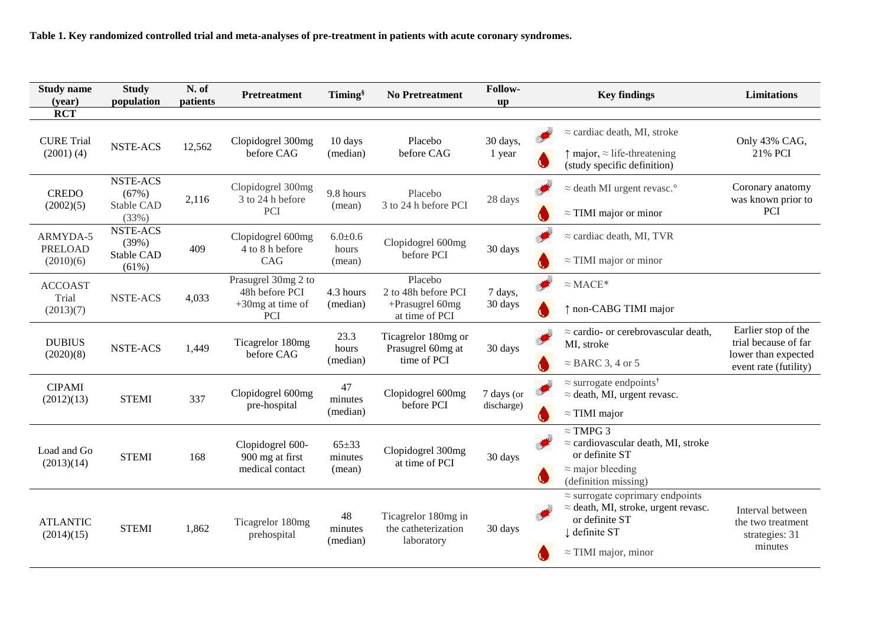**Table 1. Key randomized controlled trial and meta-analyses of pre-treatment in patients with acute coronary syndromes.**

| <b>Study name</b><br>(year)             | <b>Study</b><br>population                             | N. of<br>patients | <b>Pretreatment</b>                                                 | Timing <sup>§</sup>            | <b>No Pretreatment</b>                                              | Follow-<br>up            |                      | <b>Key findings</b>                                                               | <b>Limitations</b>                           |
|-----------------------------------------|--------------------------------------------------------|-------------------|---------------------------------------------------------------------|--------------------------------|---------------------------------------------------------------------|--------------------------|----------------------|-----------------------------------------------------------------------------------|----------------------------------------------|
| <b>RCT</b>                              |                                                        |                   |                                                                     |                                |                                                                     |                          |                      |                                                                                   |                                              |
| <b>CURE Trial</b><br>$(2001)$ $(4)$     | <b>NSTE-ACS</b>                                        | 12,562            | Clopidogrel 300mg<br>before CAG                                     | 10 days<br>(median)            | Placebo<br>before CAG                                               | 30 days,<br>1 year       |                      | $\approx$ cardiac death, MI, stroke                                               | Only 43% CAG,<br>21% PCI                     |
|                                         |                                                        |                   |                                                                     |                                |                                                                     |                          | Q,                   | $\uparrow$ major, $\approx$ life-threatening<br>(study specific definition)       |                                              |
| <b>CREDO</b><br>(2002)(5)               | <b>NSTE-ACS</b><br>(67%)<br><b>Stable CAD</b><br>(33%) | 2,116             | Clopidogrel 300mg<br>3 to 24 h before<br>PCI                        | 9.8 hours<br>(mean)            | Placebo<br>3 to 24 h before PCI                                     | 28 days                  | <b>All Contracts</b> | $\approx$ death MI urgent revasc. <sup>o</sup>                                    | Coronary anatomy<br>was known prior to       |
|                                         |                                                        |                   |                                                                     |                                |                                                                     |                          |                      | $\approx$ TIMI major or minor                                                     | <b>PCI</b>                                   |
| ARMYDA-5<br><b>PRELOAD</b><br>(2010)(6) | <b>NSTE-ACS</b><br>(39%)<br>Stable CAD<br>(61%)        | 409               | Clopidogrel 600mg<br>4 to 8 h before<br>CAG                         | $6.0 + 0.6$<br>hours<br>(mean) | Clopidogrel 600mg<br>before PCI                                     | 30 days                  | <b>CONTRACTOR</b>    | $\approx$ cardiac death, MI, TVR                                                  |                                              |
|                                         |                                                        |                   |                                                                     |                                |                                                                     |                          |                      | $\approx$ TIMI major or minor                                                     |                                              |
| <b>ACCOAST</b><br>Trial<br>(2013)(7)    | <b>NSTE-ACS</b>                                        | 4,033             | Prasugrel 30mg 2 to<br>48h before PCI<br>$+30$ mg at time of<br>PCI | 4.3 hours<br>(median)          | Placebo<br>2 to 48h before PCI<br>+Prasugrel 60mg<br>at time of PCI | 7 days,<br>30 days       |                      | $\approx$ MACE*                                                                   |                                              |
|                                         |                                                        |                   |                                                                     |                                |                                                                     |                          |                      | ↑ non-CABG TIMI major                                                             |                                              |
| <b>DUBIUS</b><br>(2020)(8)              | <b>NSTE-ACS</b>                                        | 1,449             | Ticagrelor 180mg<br>before CAG                                      | 23.3<br>hours<br>(median)      | Ticagrelor 180mg or<br>Prasugrel 60mg at<br>time of PCI             | 30 days                  |                      | $\approx$ cardio- or cerebrovascular death,<br>MI, stroke                         | Earlier stop of the<br>trial because of far  |
|                                         |                                                        |                   |                                                                     |                                |                                                                     |                          |                      | $\approx$ BARC 3, 4 or 5                                                          | lower than expected<br>event rate (futility) |
| <b>CIPAMI</b><br>(2012)(13)             | <b>STEMI</b>                                           | 337               | Clopidogrel 600mg<br>pre-hospital                                   | 47<br>minutes<br>(median)      | Clopidogrel 600mg<br>before PCI                                     | 7 days (or<br>discharge) |                      | $\approx$ surrogate endpoints <sup>†</sup><br>$\approx$ death, MI, urgent revasc. |                                              |
|                                         |                                                        |                   |                                                                     |                                |                                                                     |                          |                      | $\approx$ TIMI major                                                              |                                              |
| Load and Go<br>(2013)(14)               | <b>STEMI</b>                                           | 168               | Clopidogrel 600-<br>900 mg at first<br>medical contact              | $65 + 33$<br>minutes<br>(mean) | Clopidogrel 300mg<br>at time of PCI                                 | 30 days                  |                      | $\approx$ TMPG 3<br>$\approx$ cardiovascular death, MI, stroke                    |                                              |
|                                         |                                                        |                   |                                                                     |                                |                                                                     |                          |                      | or definite ST                                                                    |                                              |
|                                         |                                                        |                   |                                                                     |                                |                                                                     |                          | O                    | $\approx$ major bleeding<br>(definition missing)                                  |                                              |
|                                         |                                                        |                   |                                                                     |                                |                                                                     |                          |                      | $\approx$ surrogate coprimary endpoints                                           |                                              |
|                                         |                                                        |                   |                                                                     |                                |                                                                     |                          |                      | $\approx$ death, MI, stroke, urgent revasc.                                       | Interval between                             |
| <b>ATLANTIC</b><br>(2014)(15)           | <b>STEMI</b>                                           | 1,862             | Ticagrelor 180mg<br>prehospital                                     | 48<br>minutes<br>(median)      | Ticagrelor 180mg in<br>the catheterization<br>laboratory            | 30 days                  |                      | or definite ST                                                                    | the two treatment                            |
|                                         |                                                        |                   |                                                                     |                                |                                                                     |                          |                      | ↓ definite ST                                                                     | strategies: 31                               |
|                                         |                                                        |                   |                                                                     |                                |                                                                     |                          |                      | $\approx$ TIMI major, minor                                                       | minutes                                      |